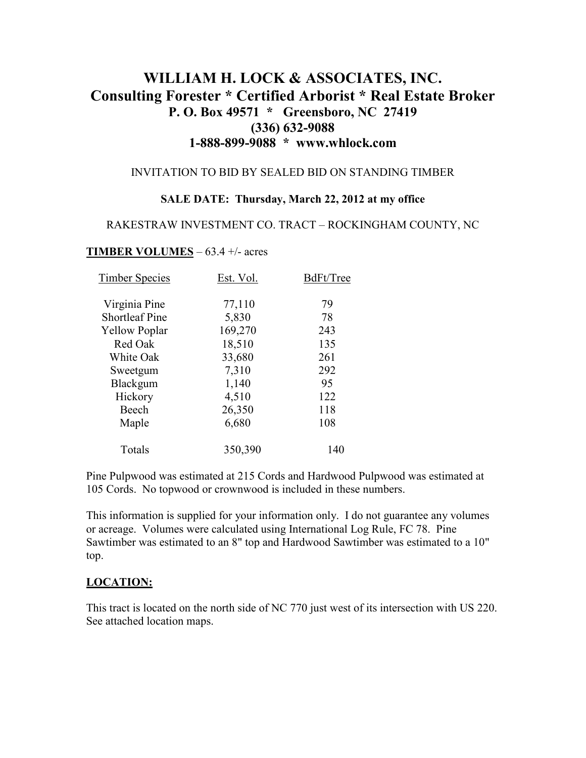# **WILLIAM H. LOCK & ASSOCIATES, INC. Consulting Forester \* Certified Arborist \* Real Estate Broker P. O. Box 49571 \* Greensboro, NC 27419 (336) 632-9088 1-888-899-9088 \* www.whlock.com**

#### INVITATION TO BID BY SEALED BID ON STANDING TIMBER

#### **SALE DATE: Thursday, March 22, 2012 at my office**

#### RAKESTRAW INVESTMENT CO. TRACT – ROCKINGHAM COUNTY, NC

#### **TIMBER VOLUMES** – 63.4 +/- acres

| <b>Timber Species</b> | Est. Vol. | BdFt/Tree |
|-----------------------|-----------|-----------|
| Virginia Pine         | 77,110    | 79        |
| <b>Shortleaf Pine</b> | 5,830     | 78        |
| <b>Yellow Poplar</b>  | 169,270   | 243       |
| Red Oak               | 18,510    | 135       |
| White Oak             | 33,680    | 261       |
| Sweetgum              | 7,310     | 292       |
| Blackgum              | 1,140     | 95        |
| Hickory               | 4,510     | 122       |
| Beech                 | 26,350    | 118       |
| Maple                 | 6,680     | 108       |
| Totals                | 350,390   | 140       |

Pine Pulpwood was estimated at 215 Cords and Hardwood Pulpwood was estimated at 105 Cords. No topwood or crownwood is included in these numbers.

This information is supplied for your information only. I do not guarantee any volumes or acreage. Volumes were calculated using International Log Rule, FC 78. Pine Sawtimber was estimated to an 8" top and Hardwood Sawtimber was estimated to a 10" top.

#### **LOCATION:**

This tract is located on the north side of NC 770 just west of its intersection with US 220. See attached location maps.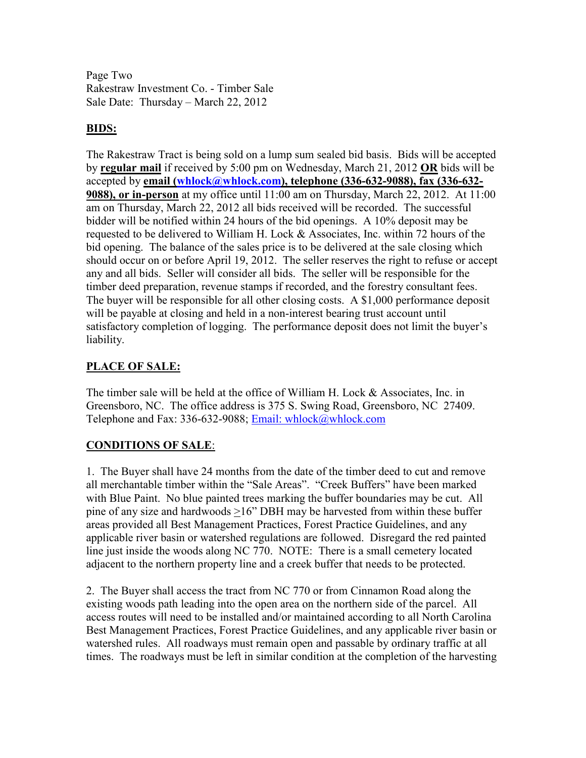Page Two Rakestraw Investment Co. - Timber Sale Sale Date: Thursday – March 22, 2012

### **BIDS:**

The Rakestraw Tract is being sold on a lump sum sealed bid basis. Bids will be accepted by **regular mail** if received by 5:00 pm on Wednesday, March 21, 2012 **OR** bids will be accepted by **email (whlock@whlock.com), telephone (336-632-9088), fax (336-632- 9088), or in-person** at my office until 11:00 am on Thursday, March 22, 2012. At 11:00 am on Thursday, March 22, 2012 all bids received will be recorded. The successful bidder will be notified within 24 hours of the bid openings. A 10% deposit may be requested to be delivered to William H. Lock  $&$  Associates, Inc. within 72 hours of the bid opening. The balance of the sales price is to be delivered at the sale closing which should occur on or before April 19, 2012. The seller reserves the right to refuse or accept any and all bids. Seller will consider all bids. The seller will be responsible for the timber deed preparation, revenue stamps if recorded, and the forestry consultant fees. The buyer will be responsible for all other closing costs. A \$1,000 performance deposit will be payable at closing and held in a non-interest bearing trust account until satisfactory completion of logging. The performance deposit does not limit the buyer's liability.

## **PLACE OF SALE:**

The timber sale will be held at the office of William H. Lock & Associates, Inc. in Greensboro, NC. The office address is 375 S. Swing Road, Greensboro, NC 27409. Telephone and Fax: 336-632-9088; Email: whlock@whlock.com

### **CONDITIONS OF SALE**:

1. The Buyer shall have 24 months from the date of the timber deed to cut and remove all merchantable timber within the "Sale Areas". "Creek Buffers" have been marked with Blue Paint. No blue painted trees marking the buffer boundaries may be cut. All pine of any size and hardwoods >16" DBH may be harvested from within these buffer areas provided all Best Management Practices, Forest Practice Guidelines, and any applicable river basin or watershed regulations are followed. Disregard the red painted line just inside the woods along NC 770. NOTE: There is a small cemetery located adjacent to the northern property line and a creek buffer that needs to be protected.

2. The Buyer shall access the tract from NC 770 or from Cinnamon Road along the existing woods path leading into the open area on the northern side of the parcel. All access routes will need to be installed and/or maintained according to all North Carolina Best Management Practices, Forest Practice Guidelines, and any applicable river basin or watershed rules. All roadways must remain open and passable by ordinary traffic at all times. The roadways must be left in similar condition at the completion of the harvesting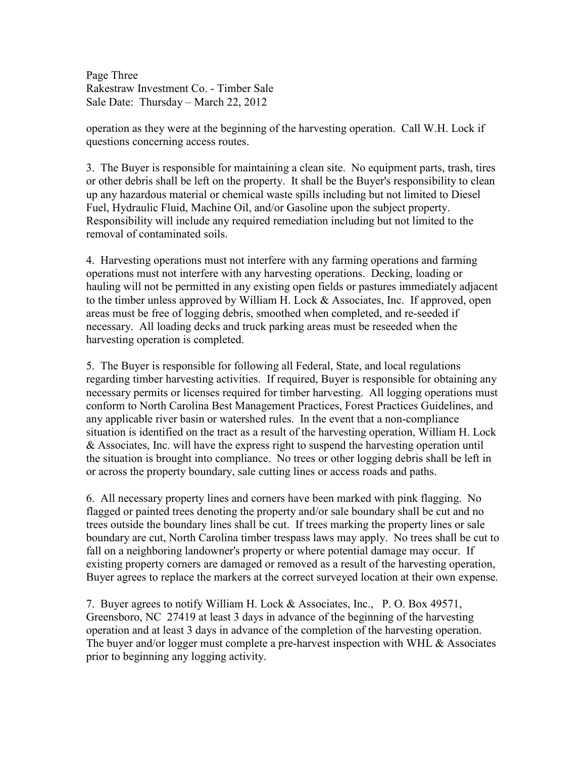Page Three Rakestraw Investment Co. - Timber Sale Sale Date: Thursday – March 22, 2012

operation as they were at the beginning of the harvesting operation. Call W.H. Lock if questions concerning access routes.

3. The Buyer is responsible for maintaining a clean site. No equipment parts, trash, tires or other debris shall be left on the property. It shall be the Buyer's responsibility to clean up any hazardous material or chemical waste spills including but not limited to Diesel Fuel, Hydraulic Fluid, Machine Oil, and/or Gasoline upon the subject property. Responsibility will include any required remediation including but not limited to the removal of contaminated soils.

4. Harvesting operations must not interfere with any farming operations and farming operations must not interfere with any harvesting operations. Decking, loading or hauling will not be permitted in any existing open fields or pastures immediately adjacent to the timber unless approved by William H. Lock & Associates, Inc. If approved, open areas must be free of logging debris, smoothed when completed, and re-seeded if necessary. All loading decks and truck parking areas must be reseeded when the harvesting operation is completed.

5. The Buyer is responsible for following all Federal, State, and local regulations regarding timber harvesting activities. If required, Buyer is responsible for obtaining any necessary permits or licenses required for timber harvesting. All logging operations must conform to North Carolina Best Management Practices, Forest Practices Guidelines, and any applicable river basin or watershed rules. In the event that a non-compliance situation is identified on the tract as a result of the harvesting operation, William H. Lock & Associates, Inc. will have the express right to suspend the harvesting operation until the situation is brought into compliance. No trees or other logging debris shall be left in or across the property boundary, sale cutting lines or access roads and paths.

6. All necessary property lines and corners have been marked with pink flagging. No flagged or painted trees denoting the property and/or sale boundary shall be cut and no trees outside the boundary lines shall be cut. If trees marking the property lines or sale boundary are cut, North Carolina timber trespass laws may apply. No trees shall be cut to fall on a neighboring landowner's property or where potential damage may occur. If existing property corners are damaged or removed as a result of the harvesting operation, Buyer agrees to replace the markers at the correct surveyed location at their own expense.

7. Buyer agrees to notify William H. Lock & Associates, Inc., P. O. Box 49571, Greensboro, NC 27419 at least 3 days in advance of the beginning of the harvesting operation and at least 3 days in advance of the completion of the harvesting operation. The buyer and/or logger must complete a pre-harvest inspection with WHL & Associates prior to beginning any logging activity.